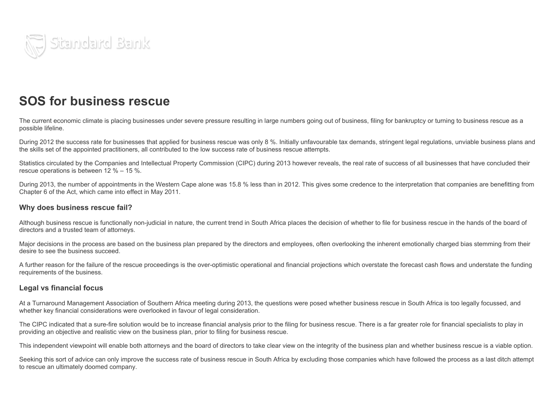

## SOS for business rescue

The current economic climate is placing businesses under severe pressure resulting in large numbers going out of business, filing for bankruptcy or turning to business rescue as a possible lifeline.

During 2012 the success rate for businesses that applied for business rescue was only 8 %. Initially unfavourable tax demands, stringent legal regulations, unviable business plans and the skills set of the appointed practitioners, all contributed to the low success rate of business rescue attempts.

Statistics circulated by the Companies and Intellectual Property Commission (CIPC) during 2013 however reveals, the real rate of success of all businesses that have concluded their rescue operations is between 12 % – 15 %.

During 2013, the number of appointments in the Western Cape alone was 15.8 % less than in 2012. This gives some credence to the interpretation that companies are benefitting from Chapter 6 of the Act, which came into effect in May 2011.

## Why does business rescue fail?

Although business rescue is functionally non-judicial in nature, the current trend in South Africa places the decision of whether to file for business rescue in the hands of the board of directors and a trusted team of attorneys.

Major decisions in the process are based on the business plan prepared by the directors and employees, often overlooking the inherent emotionally charged bias stemming from their desire to see the business succeed.

A further reason for the failure of the rescue proceedings is the over-optimistic operational and financial projections which overstate the forecast cash flows and understate the funding requirements of the business.

## Legal vs financial focus

At a Turnaround Management Association of Southern Africa meeting during 2013, the questions were posed whether business rescue in South Africa is too legally focussed, and whether key financial considerations were overlooked in favour of legal consideration.

The CIPC indicated that a sure-fire solution would be to increase financial analysis prior to the filing for business rescue. There is a far greater role for financial specialists to play in providing an objective and realistic view on the business plan, prior to filing for business rescue.

This independent viewpoint will enable both attorneys and the board of directors to take clear view on the integrity of the business plan and whether business rescue is a viable option.

Seeking this sort of advice can only improve the success rate of business rescue in South Africa by excluding those companies which have followed the process as a last ditch attempt to rescue an ultimately doomed company.